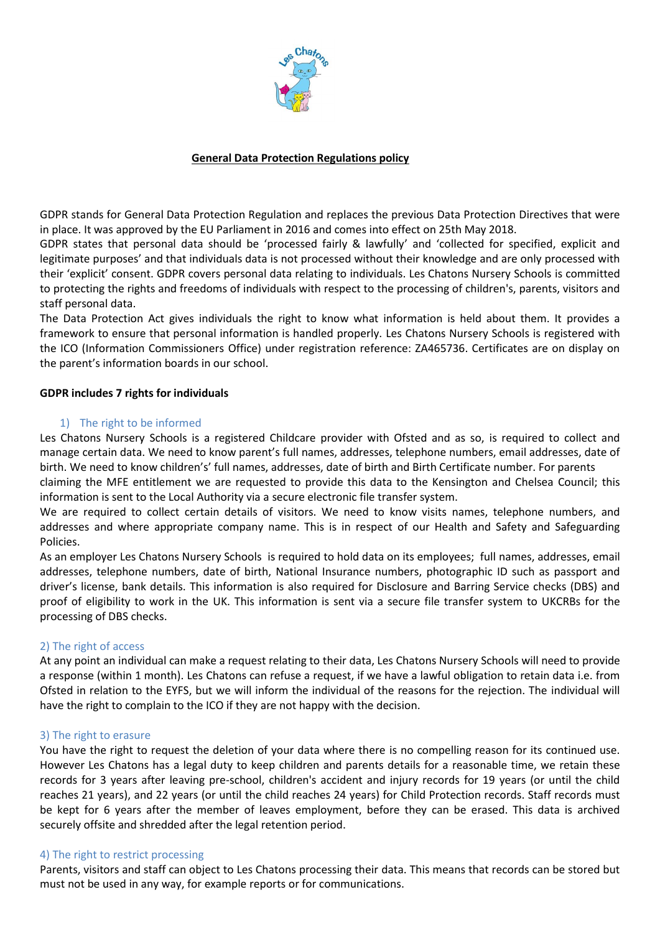

## **General Data Protection Regulations policy**

GDPR stands for General Data Protection Regulation and replaces the previous Data Protection Directives that were in place. It was approved by the EU Parliament in 2016 and comes into effect on 25th May 2018.

GDPR states that personal data should be 'processed fairly & lawfully' and 'collected for specified, explicit and legitimate purposes' and that individuals data is not processed without their knowledge and are only processed with their 'explicit' consent. GDPR covers personal data relating to individuals. Les Chatons Nursery Schools is committed to protecting the rights and freedoms of individuals with respect to the processing of children's, parents, visitors and staff personal data.

The Data Protection Act gives individuals the right to know what information is held about them. It provides a framework to ensure that personal information is handled properly. Les Chatons Nursery Schools is registered with the ICO (Information Commissioners Office) under registration reference: ZA465736. Certificates are on display on the parent's information boards in our school.

### **GDPR includes 7 rights for individuals**

### 1) The right to be informed

Les Chatons Nursery Schools is a registered Childcare provider with Ofsted and as so, is required to collect and manage certain data. We need to know parent's full names, addresses, telephone numbers, email addresses, date of birth. We need to know children's' full names, addresses, date of birth and Birth Certificate number. For parents

claiming the MFE entitlement we are requested to provide this data to the Kensington and Chelsea Council; this information is sent to the Local Authority via a secure electronic file transfer system.

We are required to collect certain details of visitors. We need to know visits names, telephone numbers, and addresses and where appropriate company name. This is in respect of our Health and Safety and Safeguarding Policies.

As an employer Les Chatons Nursery Schools is required to hold data on its employees; full names, addresses, email addresses, telephone numbers, date of birth, National Insurance numbers, photographic ID such as passport and driver's license, bank details. This information is also required for Disclosure and Barring Service checks (DBS) and proof of eligibility to work in the UK. This information is sent via a secure file transfer system to UKCRBs for the processing of DBS checks.

### 2) The right of access

At any point an individual can make a request relating to their data, Les Chatons Nursery Schools will need to provide a response (within 1 month). Les Chatons can refuse a request, if we have a lawful obligation to retain data i.e. from Ofsted in relation to the EYFS, but we will inform the individual of the reasons for the rejection. The individual will have the right to complain to the ICO if they are not happy with the decision.

### 3) The right to erasure

You have the right to request the deletion of your data where there is no compelling reason for its continued use. However Les Chatons has a legal duty to keep children and parents details for a reasonable time, we retain these records for 3 years after leaving pre-school, children's accident and injury records for 19 years (or until the child reaches 21 years), and 22 years (or until the child reaches 24 years) for Child Protection records. Staff records must be kept for 6 years after the member of leaves employment, before they can be erased. This data is archived securely offsite and shredded after the legal retention period.

#### 4) The right to restrict processing

Parents, visitors and staff can object to Les Chatons processing their data. This means that records can be stored but must not be used in any way, for example reports or for communications.